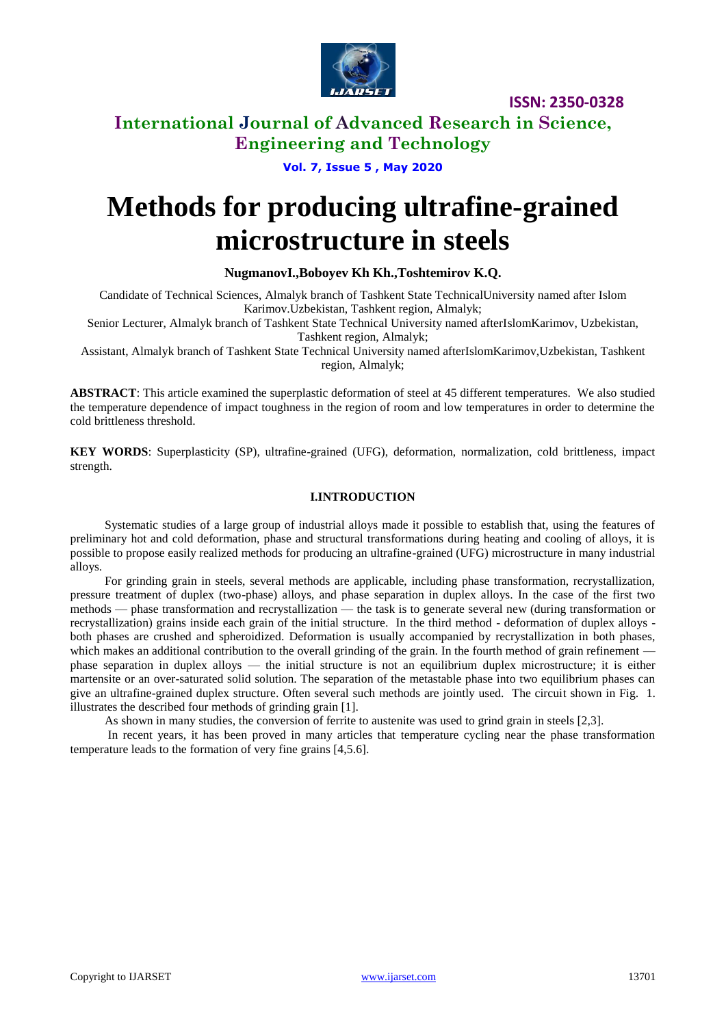

**ISSN: 2350-0328**

### **International Journal of Advanced Research in Science, Engineering and Technology**

**Vol. 7, Issue 5 , May 2020**

# **Methods for producing ultrafine-grained microstructure in steels**

### **NugmanovI.,Boboyev Kh Kh.,Toshtemirov K.Q.**

Candidate of Technical Sciences, Almalyk branch of Tashkent State TechnicalUniversity named after Islom Karimov.Uzbekistan, Tashkent region, Almalyk;

Senior Lecturer, Almalyk branch of Tashkent State Technical University named afterIslomKarimov, Uzbekistan, Tashkent region, Almalyk;

Assistant, Almalyk branch of Tashkent State Technical University named afterIslomKarimov,Uzbekistan, Tashkent region, Almalyk;

**ABSTRACT**: This article examined the superplastic deformation of steel at 45 different temperatures. We also studied the temperature dependence of impact toughness in the region of room and low temperatures in order to determine the cold brittleness threshold.

**KEY WORDS**: Superplasticity (SP), ultrafine-grained (UFG), deformation, normalization, cold brittleness, impact strength.

### **I.INTRODUCTION**

Systematic studies of a large group of industrial alloys made it possible to establish that, using the features of preliminary hot and cold deformation, phase and structural transformations during heating and cooling of alloys, it is possible to propose easily realized methods for producing an ultrafine-grained (UFG) microstructure in many industrial alloys.

For grinding grain in steels, several methods are applicable, including phase transformation, recrystallization, pressure treatment of duplex (two-phase) alloys, and phase separation in duplex alloys. In the case of the first two methods — phase transformation and recrystallization — the task is to generate several new (during transformation or recrystallization) grains inside each grain of the initial structure. In the third method - deformation of duplex alloys both phases are crushed and spheroidized. Deformation is usually accompanied by recrystallization in both phases, which makes an additional contribution to the overall grinding of the grain. In the fourth method of grain refinement phase separation in duplex alloys — the initial structure is not an equilibrium duplex microstructure; it is either martensite or an over-saturated solid solution. The separation of the metastable phase into two equilibrium phases can give an ultrafine-grained duplex structure. Often several such methods are jointly used. The circuit shown in Fig. 1. illustrates the described four methods of grinding grain [1].

As shown in many studies, the conversion of ferrite to austenite was used to grind grain in steels [2,3].

In recent years, it has been proved in many articles that temperature cycling near the phase transformation temperature leads to the formation of very fine grains [4,5.6].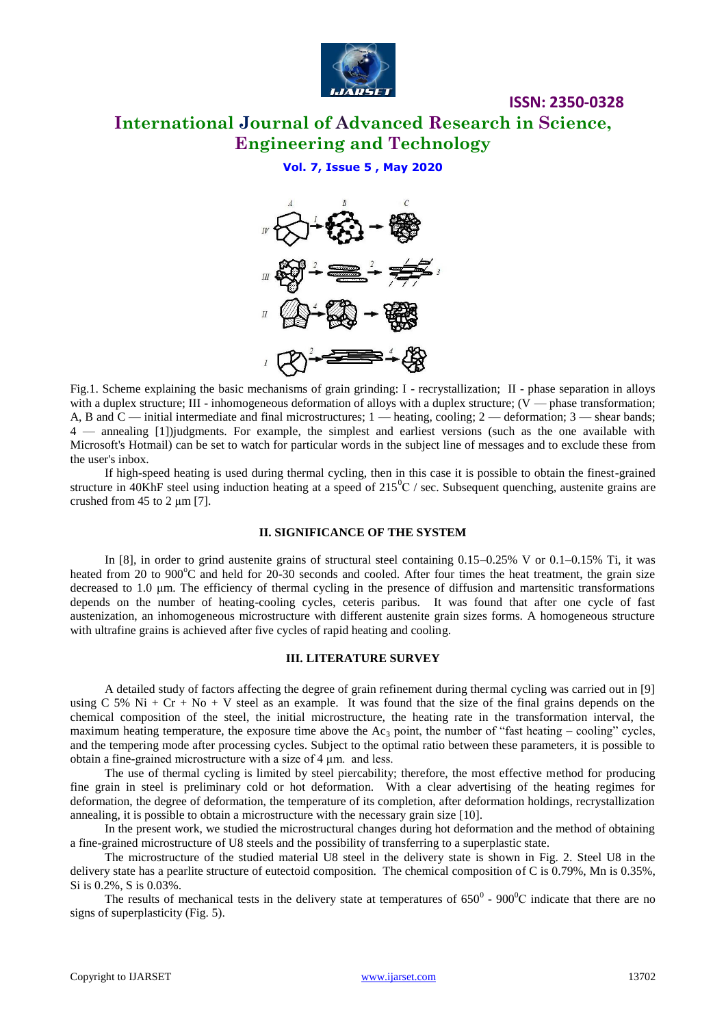

**ISSN: 2350-0328**

**Vol. 7, Issue 5 , May 2020**



Fig.1. Scheme explaining the basic mechanisms of grain grinding: I - recrystallization; II - phase separation in alloys with a duplex structure; III - inhomogeneous deformation of alloys with a duplex structure;  $(V \rightarrow phase$  transformation; A, B and C — initial intermediate and final microstructures; 1 — heating, cooling; 2 — deformation; 3 — shear bands; 4 — annealing [1])judgments. For example, the simplest and earliest versions (such as the one available with Microsoft's Hotmail) can be set to watch for particular words in the subject line of messages and to exclude these from the user's inbox.

If high-speed heating is used during thermal cycling, then in this case it is possible to obtain the finest-grained structure in 40KhF steel using induction heating at a speed of  $215\text{°C}$  / sec. Subsequent quenching, austenite grains are crushed from 45 to 2 μm [7].

#### **II. SIGNIFICANCE OF THE SYSTEM**

In [8], in order to grind austenite grains of structural steel containing 0.15–0.25% V or 0.1–0.15% Ti, it was heated from 20 to 900°C and held for 20-30 seconds and cooled. After four times the heat treatment, the grain size decreased to 1.0 μm. The efficiency of thermal cycling in the presence of diffusion and martensitic transformations depends on the number of heating-cooling cycles, ceteris paribus. It was found that after one cycle of fast austenization, an inhomogeneous microstructure with different austenite grain sizes forms. A homogeneous structure with ultrafine grains is achieved after five cycles of rapid heating and cooling.

#### **III. LITERATURE SURVEY**

A detailed study of factors affecting the degree of grain refinement during thermal cycling was carried out in [9] using C 5% Ni + Cr + No + V steel as an example. It was found that the size of the final grains depends on the chemical composition of the steel, the initial microstructure, the heating rate in the transformation interval, the maximum heating temperature, the exposure time above the  $Ac_3$  point, the number of "fast heating – cooling" cycles, and the tempering mode after processing cycles. Subject to the optimal ratio between these parameters, it is possible to obtain a fine-grained microstructure with a size of 4 μm. and less.

The use of thermal cycling is limited by steel piercability; therefore, the most effective method for producing fine grain in steel is preliminary cold or hot deformation. With a clear advertising of the heating regimes for deformation, the degree of deformation, the temperature of its completion, after deformation holdings, recrystallization annealing, it is possible to obtain a microstructure with the necessary grain size [10].

In the present work, we studied the microstructural changes during hot deformation and the method of obtaining a fine-grained microstructure of U8 steels and the possibility of transferring to a superplastic state.

The microstructure of the studied material U8 steel in the delivery state is shown in Fig. 2. Steel U8 in the delivery state has a pearlite structure of eutectoid composition. The chemical composition of C is 0.79%, Mn is 0.35%, Si is 0.2%, S is 0.03%.

The results of mechanical tests in the delivery state at temperatures of  $650^{\circ}$  -  $900^{\circ}$ C indicate that there are no signs of superplasticity (Fig. 5).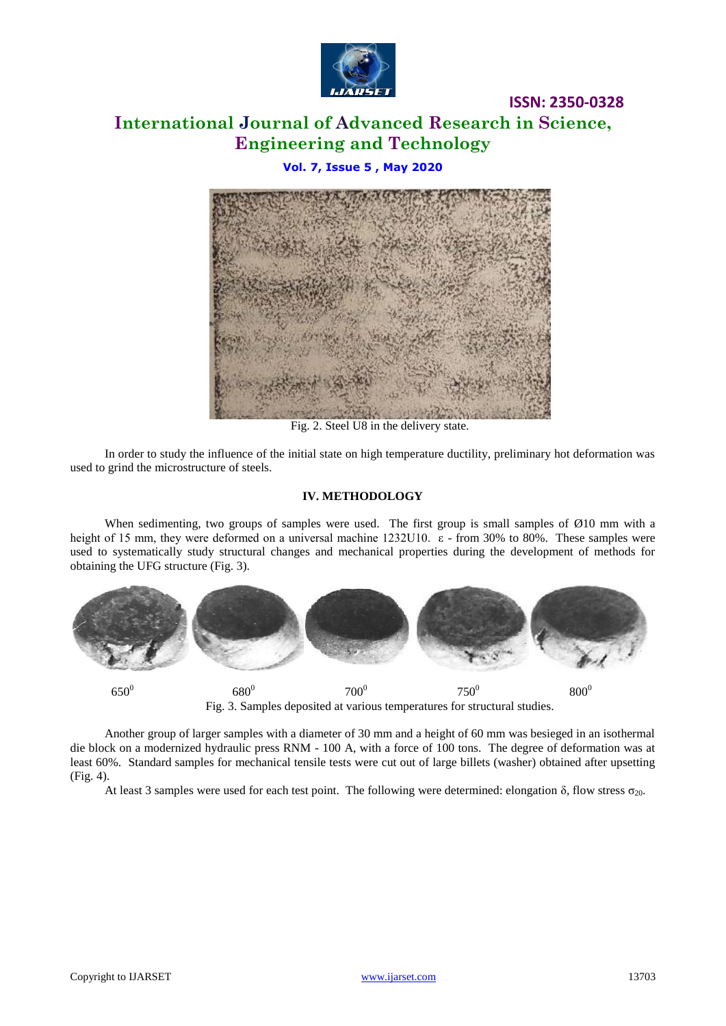

**ISSN: 2350-0328**

### **Vol. 7, Issue 5 , May 2020**



Fig. 2. Steel U8 in the delivery state.

In order to study the influence of the initial state on high temperature ductility, preliminary hot deformation was used to grind the microstructure of steels.

#### **IV. METHODOLOGY**

When sedimenting, two groups of samples were used. The first group is small samples of  $\emptyset$ 10 mm with a height of 15 mm, they were deformed on a universal machine 1232U10. ε - from 30% to 80%. These samples were used to systematically study structural changes and mechanical properties during the development of methods for obtaining the UFG structure (Fig. 3).



Another group of larger samples with a diameter of 30 mm and a height of 60 mm was besieged in an isothermal die block on a modernized hydraulic press RNM - 100 A, with a force of 100 tons. The degree of deformation was at least 60%. Standard samples for mechanical tensile tests were cut out of large billets (washer) obtained after upsetting (Fig. 4).

At least 3 samples were used for each test point. The following were determined: elongation δ, flow stress  $\sigma_{20}$ .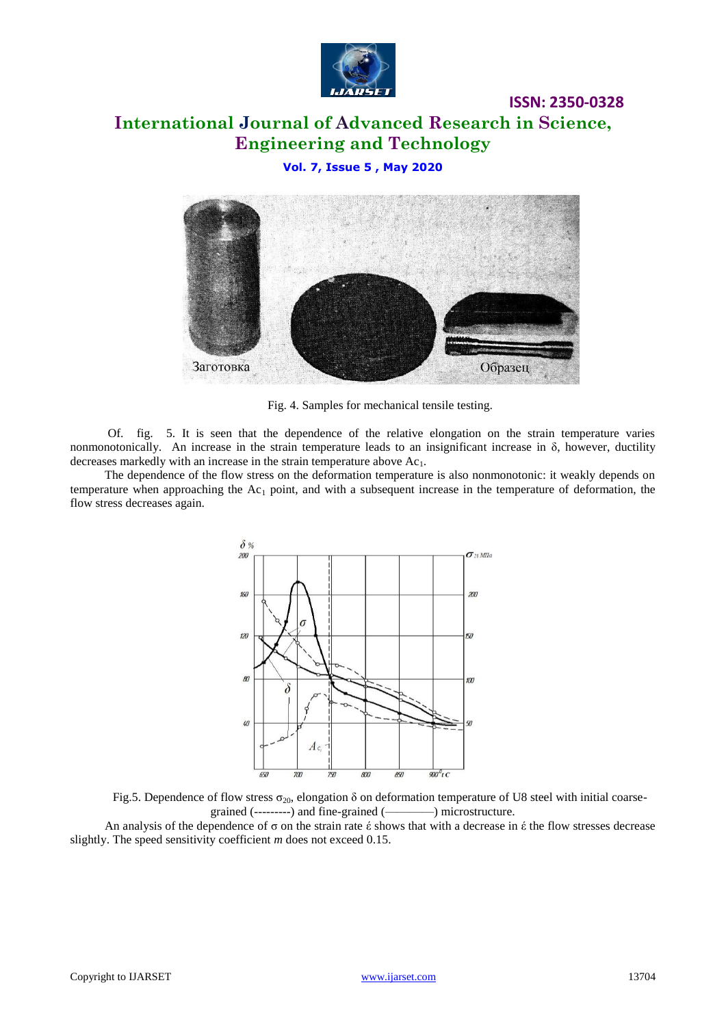

**ISSN: 2350-0328**

### **Vol. 7, Issue 5 , May 2020**



Fig. 4. Samples for mechanical tensile testing.

Of. fig. 5. It is seen that the dependence of the relative elongation on the strain temperature varies nonmonotonically. An increase in the strain temperature leads to an insignificant increase in  $\delta$ , however, ductility decreases markedly with an increase in the strain temperature above  $Ac<sub>1</sub>$ .

The dependence of the flow stress on the deformation temperature is also nonmonotonic: it weakly depends on temperature when approaching the  $Ac<sub>1</sub>$  point, and with a subsequent increase in the temperature of deformation, the flow stress decreases again.





An analysis of the dependence of σ on the strain rate έ shows that with a decrease in έ the flow stresses decrease slightly. The speed sensitivity coefficient *m* does not exceed 0.15.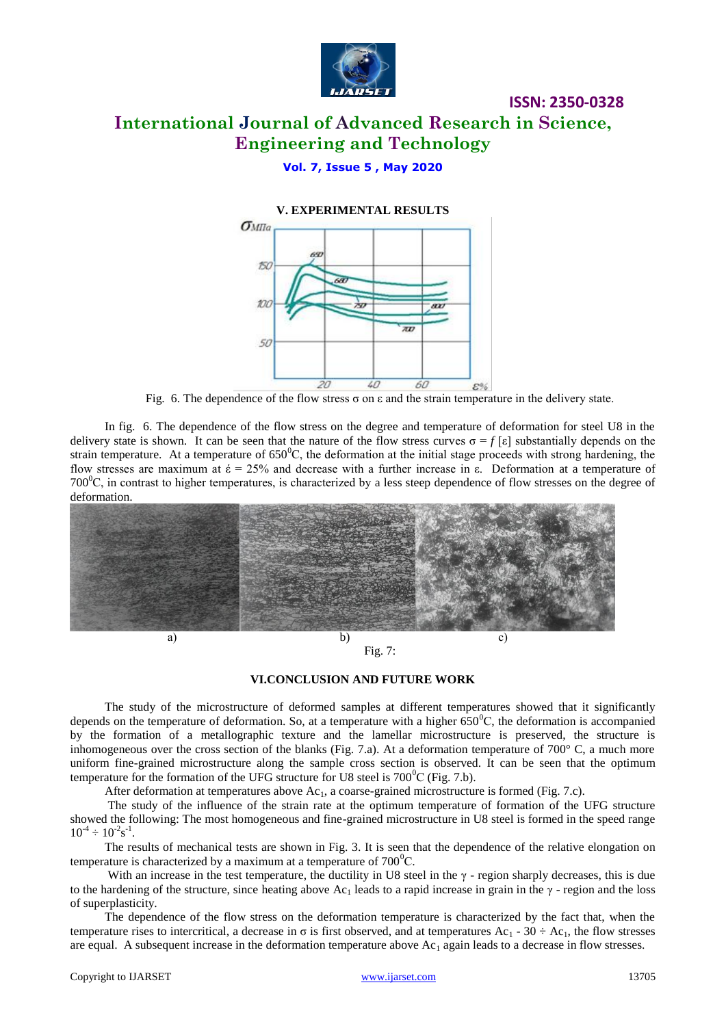

**ISSN: 2350-0328**

### **Vol. 7, Issue 5 , May 2020**



Fig. 6. The dependence of the flow stress  $\sigma$  on  $\varepsilon$  and the strain temperature in the delivery state.

In fig. 6. The dependence of the flow stress on the degree and temperature of deformation for steel U8 in the delivery state is shown. It can be seen that the nature of the flow stress curves  $\sigma = f[\varepsilon]$  substantially depends on the strain temperature. At a temperature of  $650^{\circ}$ C, the deformation at the initial stage proceeds with strong hardening, the flow stresses are maximum at  $\acute{\epsilon} = 25\%$  and decrease with a further increase in ε. Deformation at a temperature of 700 $^{\circ}$ C, in contrast to higher temperatures, is characterized by a less steep dependence of flow stresses on the degree of deformation.



Fig. 7:

### **VI.CONCLUSION AND FUTURE WORK**

The study of the microstructure of deformed samples at different temperatures showed that it significantly depends on the temperature of deformation. So, at a temperature with a higher  $650^{\circ}$ C, the deformation is accompanied by the formation of a metallographic texture and the lamellar microstructure is preserved, the structure is inhomogeneous over the cross section of the blanks (Fig. 7.a). At a deformation temperature of  $700^{\circ}$  C, a much more uniform fine-grained microstructure along the sample cross section is observed. It can be seen that the optimum temperature for the formation of the UFG structure for U8 steel is  $700^{\circ}$ C (Fig. 7.b).

After deformation at temperatures above  $Ac<sub>1</sub>$ , a coarse-grained microstructure is formed (Fig. 7.c).

The study of the influence of the strain rate at the optimum temperature of formation of the UFG structure showed the following: The most homogeneous and fine-grained microstructure in U8 steel is formed in the speed range  $10^{-4} \div 10^{-2} s^{-1}$ .

The results of mechanical tests are shown in Fig. 3. It is seen that the dependence of the relative elongation on temperature is characterized by a maximum at a temperature of  $700^{\circ}$ C.

With an increase in the test temperature, the ductility in U8 steel in the  $\gamma$ -region sharply decreases, this is due to the hardening of the structure, since heating above Ac<sub>1</sub> leads to a rapid increase in grain in the  $\gamma$ -region and the loss of superplasticity.

The dependence of the flow stress on the deformation temperature is characterized by the fact that, when the temperature rises to intercritical, a decrease in  $\sigma$  is first observed, and at temperatures Ac<sub>1</sub> - 30  $\div$  Ac<sub>1</sub>, the flow stresses are equal. A subsequent increase in the deformation temperature above  $Ac<sub>1</sub>$  again leads to a decrease in flow stresses.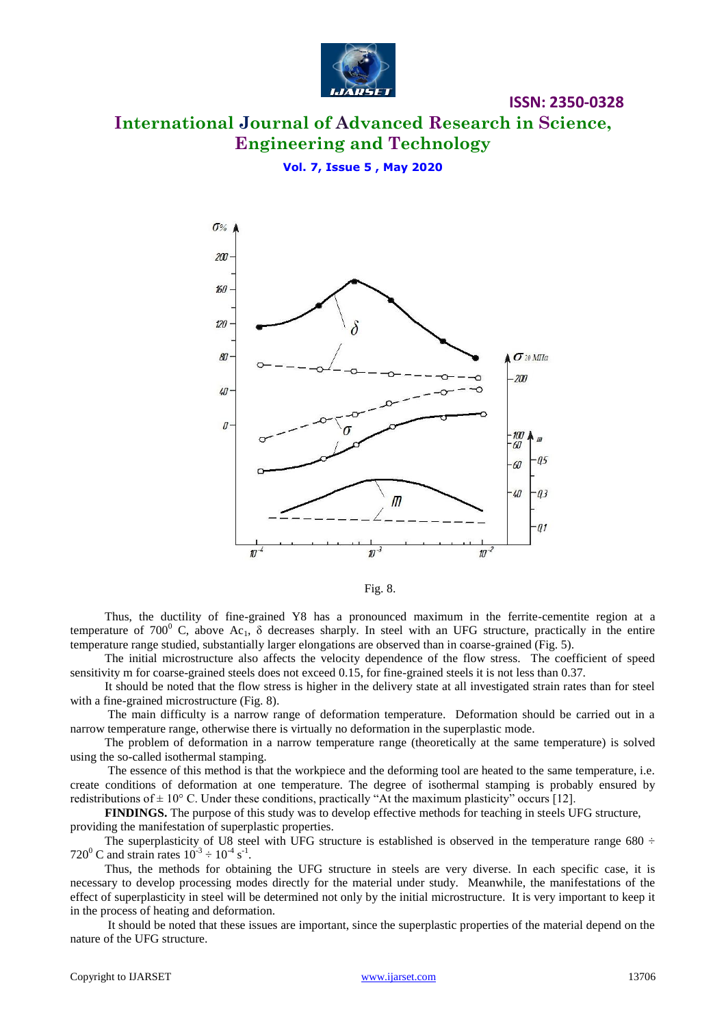

**ISSN: 2350-0328**

### **Vol. 7, Issue 5 , May 2020**



Fig. 8.

Thus, the ductility of fine-grained Y8 has a pronounced maximum in the ferrite-cementite region at a temperature of 700<sup>0</sup> C, above Ac<sub>1</sub>,  $\delta$  decreases sharply. In steel with an UFG structure, practically in the entire temperature range studied, substantially larger elongations are observed than in coarse-grained (Fig. 5).

The initial microstructure also affects the velocity dependence of the flow stress. The coefficient of speed sensitivity m for coarse-grained steels does not exceed 0.15, for fine-grained steels it is not less than 0.37.

It should be noted that the flow stress is higher in the delivery state at all investigated strain rates than for steel with a fine-grained microstructure (Fig. 8).

The main difficulty is a narrow range of deformation temperature. Deformation should be carried out in a narrow temperature range, otherwise there is virtually no deformation in the superplastic mode.

The problem of deformation in a narrow temperature range (theoretically at the same temperature) is solved using the so-called isothermal stamping.

The essence of this method is that the workpiece and the deforming tool are heated to the same temperature, i.e. create conditions of deformation at one temperature. The degree of isothermal stamping is probably ensured by redistributions of  $\pm$  10° C. Under these conditions, practically "At the maximum plasticity" occurs [12].

**FINDINGS.** The purpose of this study was to develop effective methods for teaching in steels UFG structure, providing the manifestation of superplastic properties.

The superplasticity of U8 steel with UFG structure is established is observed in the temperature range 680  $\div$ 720<sup>0</sup> C and strain rates  $10^{-3} \div 10^{-4}$  s<sup>-1</sup>.

Thus, the methods for obtaining the UFG structure in steels are very diverse. In each specific case, it is necessary to develop processing modes directly for the material under study. Meanwhile, the manifestations of the effect of superplasticity in steel will be determined not only by the initial microstructure. It is very important to keep it in the process of heating and deformation.

It should be noted that these issues are important, since the superplastic properties of the material depend on the nature of the UFG structure.